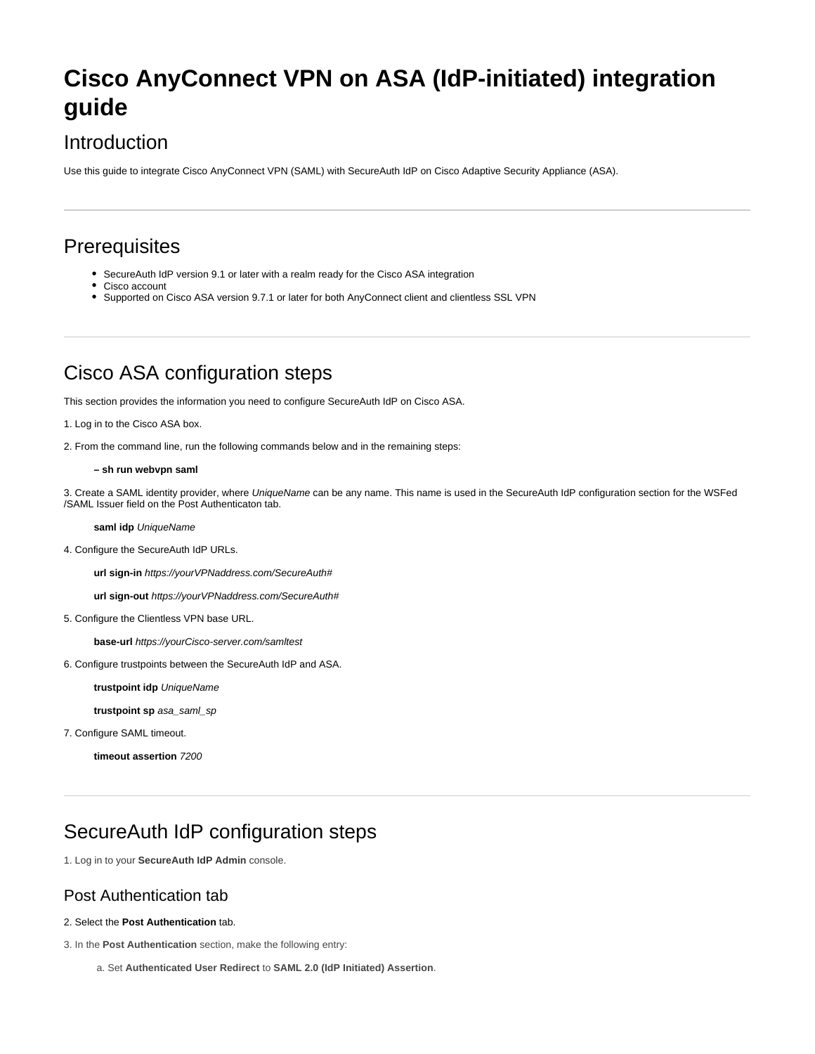# **Cisco AnyConnect VPN on ASA (IdP-initiated) integration guide**

## Introduction

Use this guide to integrate Cisco AnyConnect VPN (SAML) with SecureAuth IdP on Cisco Adaptive Security Appliance (ASA).

## **Prerequisites**

- SecureAuth IdP version 9.1 or later with a realm ready for the Cisco ASA integration
- Cisco account
- Supported on Cisco ASA version 9.7.1 or later for both AnyConnect client and clientless SSL VPN

## Cisco ASA configuration steps

This section provides the information you need to configure SecureAuth IdP on Cisco ASA.

```
1. Log in to the Cisco ASA box.
```
2. From the command line, run the following commands below and in the remaining steps:

**– sh run webvpn saml**

3. Create a SAML identity provider, where UniqueName can be any name. This name is used in the SecureAuth IdP configuration section for the WSFed /SAML Issuer field on the Post Authenticaton tab.

### **saml idp** UniqueName

4. Configure the SecureAuth IdP URLs.

**url sign-in** https://yourVPNaddress.com/SecureAuth#

**url sign-out** https://yourVPNaddress.com/SecureAuth#

5. Configure the Clientless VPN base URL.

**base-url** https://yourCisco-server.com/samltest

6. Configure trustpoints between the SecureAuth IdP and ASA.

**trustpoint idp** UniqueName

**trustpoint sp** asa\_saml\_sp

7. Configure SAML timeout.

**timeout assertion** 7200

### SecureAuth IdP configuration steps

1. Log in to your **SecureAuth IdP Admin** console.

### Post Authentication tab

### 2. Select the **Post Authentication** tab.

3. In the **Post Authentication** section, make the following entry:

a. Set **Authenticated User Redirect** to **SAML 2.0 (IdP Initiated) Assertion**.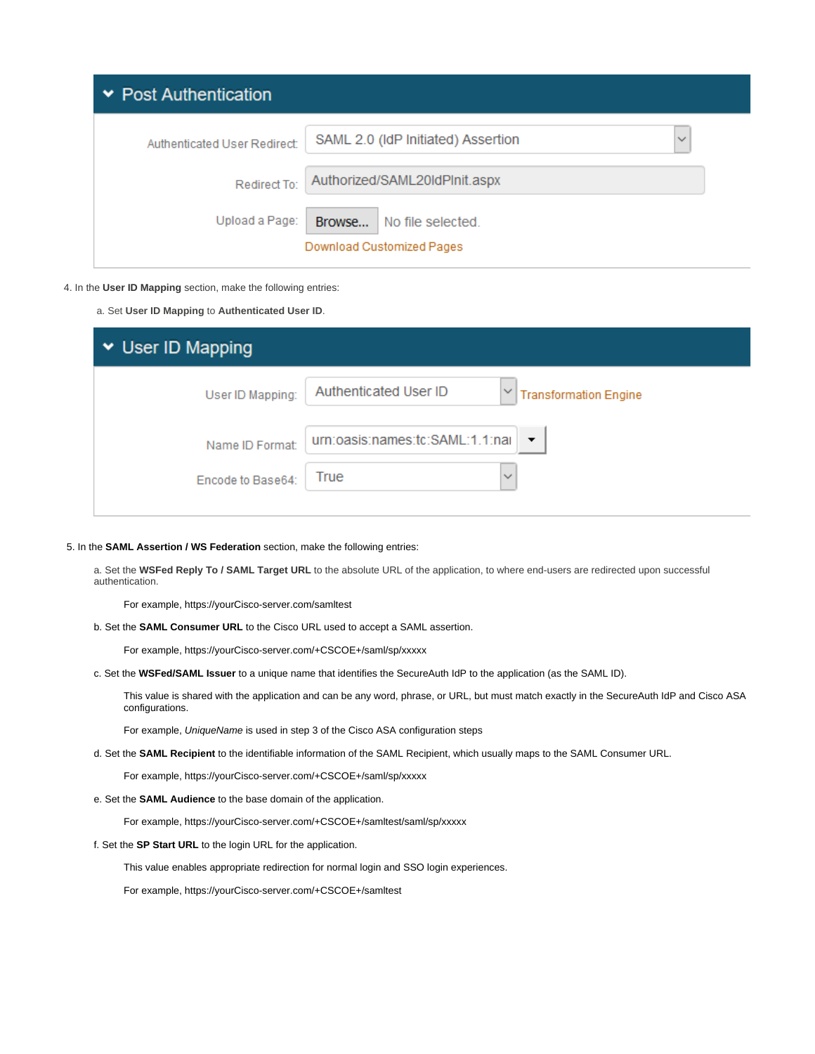| $\triangleright$ Post Authentication |                              |                                                    |
|--------------------------------------|------------------------------|----------------------------------------------------|
|                                      | Authenticated User Redirect: | SAML 2.0 (IdP Initiated) Assertion<br>$\checkmark$ |
|                                      | Redirect To:                 | Authorized/SAML20IdPlnit.aspx                      |
|                                      | Upload a Page:               | Browse<br>No file selected.                        |
|                                      |                              | Download Customized Pages                          |

#### 4. In the **User ID Mapping** section, make the following entries:

a. Set **User ID Mapping** to **Authenticated User ID**.

| ▼ User ID Mapping |                                                             |  |  |
|-------------------|-------------------------------------------------------------|--|--|
| User ID Mapping:  | Authenticated User ID<br><b>Transformation Engine</b>       |  |  |
| Name ID Format:   | urn:oasis:names:tc:SAML:1.1:nai<br>$\overline{\phantom{a}}$ |  |  |
| Encode to Base64: | True<br>$\checkmark$                                        |  |  |

### 5. In the **SAML Assertion / WS Federation** section, make the following entries:

a. Set the **WSFed Reply To / SAML Target URL** to the absolute URL of the application, to where end-users are redirected upon successful authentication.

For example, https://yourCisco-server.com/samltest

b. Set the **SAML Consumer URL** to the Cisco URL used to accept a SAML assertion.

For example, https://yourCisco-server.com/+CSCOE+/saml/sp/xxxxx

c. Set the **WSFed/SAML Issuer** to a unique name that identifies the SecureAuth IdP to the application (as the SAML ID).

This value is shared with the application and can be any word, phrase, or URL, but must match exactly in the SecureAuth IdP and Cisco ASA configurations.

For example, UniqueName is used in step 3 of the Cisco ASA configuration steps

d. Set the **SAML Recipient** to the identifiable information of the SAML Recipient, which usually maps to the SAML Consumer URL.

For example, https://yourCisco-server.com/+CSCOE+/saml/sp/xxxxx

e. Set the **SAML Audience** to the base domain of the application.

For example, https://yourCisco-server.com/+CSCOE+/samltest/saml/sp/xxxxx

#### f. Set the **SP Start URL** to the login URL for the application.

This value enables appropriate redirection for normal login and SSO login experiences.

For example, https://yourCisco-server.com/+CSCOE+/samltest